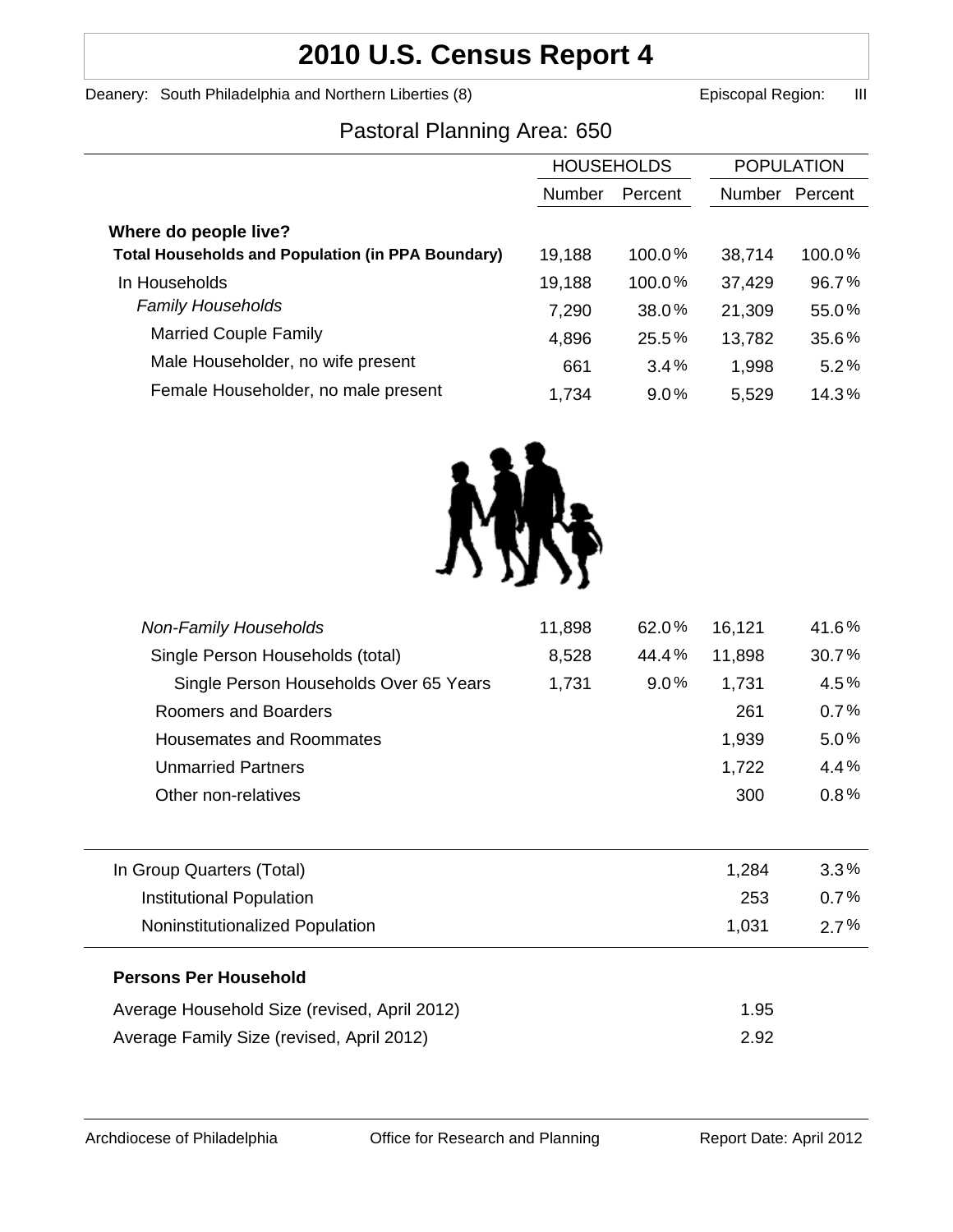# **2010 U.S. Census Report 4**

Deanery: South Philadelphia and Northern Liberties (8) **Example 2** Episcopal Region: III

# Pastoral Planning Area: 650

| <b>POPULATION</b> |  |
|-------------------|--|
| Percent           |  |
|                   |  |
| 100.0%            |  |
| 96.7%             |  |
| 55.0%             |  |
| 35.6%             |  |
| 5.2%              |  |
| 14.3%             |  |
|                   |  |



| <b>Non-Family Households</b>                 | 11,898 | 62.0%   | 16,121 | 41.6%   |
|----------------------------------------------|--------|---------|--------|---------|
| Single Person Households (total)             | 8,528  | 44.4%   | 11,898 | 30.7%   |
| Single Person Households Over 65 Years       | 1,731  | $9.0\%$ | 1,731  | 4.5%    |
| Roomers and Boarders                         |        |         | 261    | 0.7%    |
| <b>Housemates and Roommates</b>              |        |         | 1,939  | 5.0%    |
| <b>Unmarried Partners</b>                    |        |         | 1,722  | 4.4%    |
| Other non-relatives                          |        |         | 300    | 0.8%    |
|                                              |        |         |        |         |
| In Group Quarters (Total)                    |        |         | 1,284  | $3.3\%$ |
| Institutional Population                     |        |         | 253    | 0.7%    |
| Noninstitutionalized Population              |        |         | 1,031  | $2.7\%$ |
| <b>Persons Per Household</b>                 |        |         |        |         |
| Average Household Size (revised, April 2012) |        |         | 1.95   |         |
| Average Family Size (revised, April 2012)    |        |         | 2.92   |         |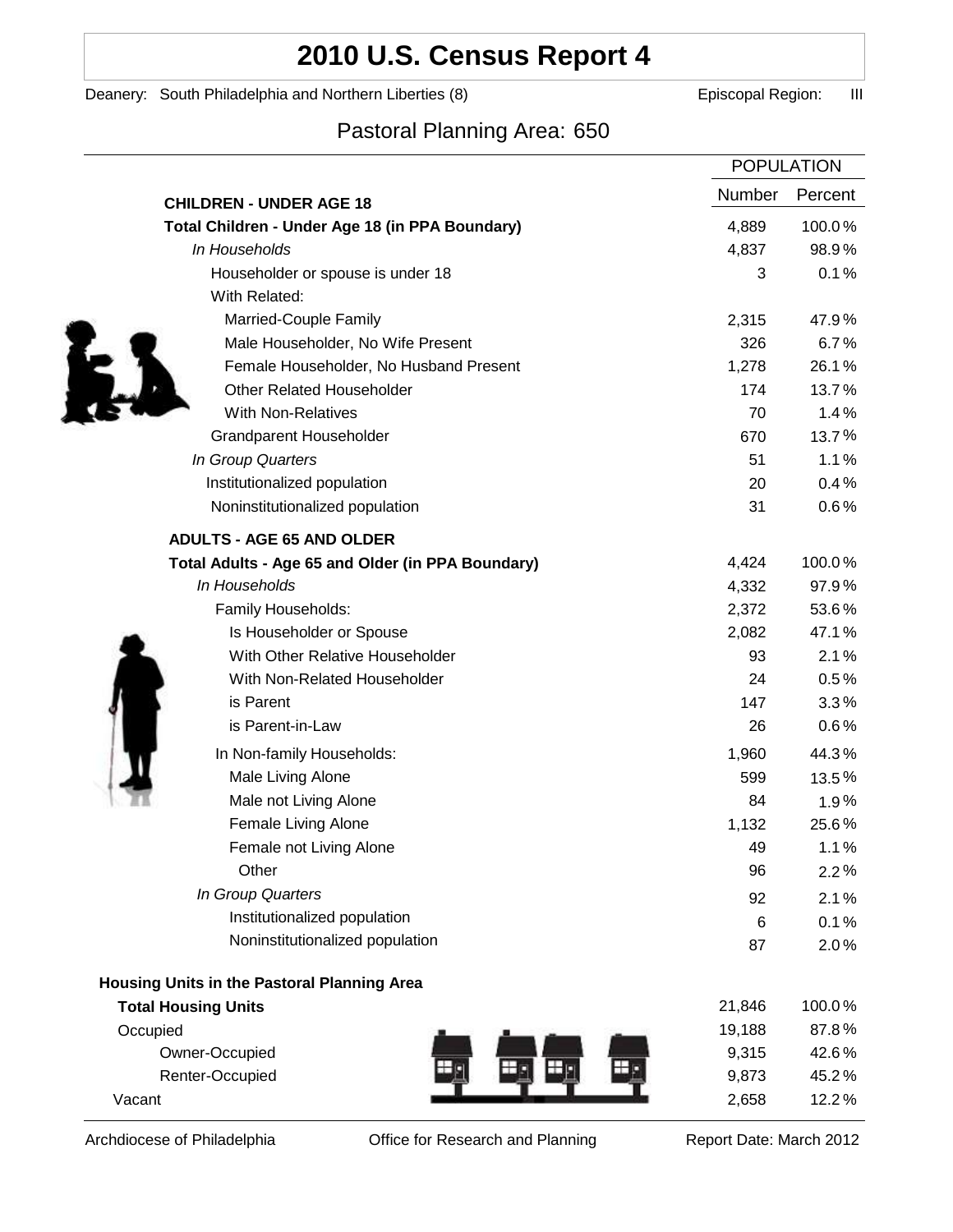# **2010 U.S. Census Report 4**

Deanery: South Philadelphia and Northern Liberties (8) **Example 2** Episcopal Region: III

# Pastoral Planning Area: 650

| Number<br>Percent<br><b>CHILDREN - UNDER AGE 18</b><br>100.0%<br>Total Children - Under Age 18 (in PPA Boundary)<br>4,889<br>In Households<br>4,837<br>98.9%<br>0.1%<br>Householder or spouse is under 18<br>3<br>With Related:<br>Married-Couple Family<br>2,315<br>47.9%<br>326<br>6.7%<br>Male Householder, No Wife Present<br>Female Householder, No Husband Present<br>1,278<br>26.1%<br><b>Other Related Householder</b><br>174<br>13.7%<br><b>With Non-Relatives</b><br>70<br>1.4%<br>13.7%<br>Grandparent Householder<br>670<br>In Group Quarters<br>51<br>1.1%<br>Institutionalized population<br>0.4%<br>20<br>0.6%<br>Noninstitutionalized population<br>31<br><b>ADULTS - AGE 65 AND OLDER</b><br>100.0%<br>4,424<br>Total Adults - Age 65 and Older (in PPA Boundary)<br>97.9%<br>In Households<br>4,332<br>2,372<br>53.6%<br>Family Households:<br>Is Householder or Spouse<br>2,082<br>47.1%<br>With Other Relative Householder<br>2.1%<br>93<br>With Non-Related Householder<br>24<br>0.5%<br>is Parent<br>147<br>3.3%<br>is Parent-in-Law<br>0.6%<br>26<br>In Non-family Households:<br>44.3%<br>1,960<br>Male Living Alone<br>599<br>13.5%<br>Male not Living Alone<br>1.9%<br>84<br>Female Living Alone<br>25.6%<br>1,132<br>Female not Living Alone<br>49<br>1.1%<br>Other<br>96<br>2.2%<br>In Group Quarters<br>92<br>2.1%<br>Institutionalized population<br>0.1%<br>6<br>Noninstitutionalized population<br>2.0%<br>87<br>Housing Units in the Pastoral Planning Area<br>100.0%<br><b>Total Housing Units</b><br>21,846<br>87.8%<br>19,188<br>Occupied<br>Owner-Occupied<br>42.6%<br>9,315<br>Renter-Occupied<br>9,873<br>45.2%<br>12.2%<br>Vacant<br>2,658 | <b>POPULATION</b> |  |
|------------------------------------------------------------------------------------------------------------------------------------------------------------------------------------------------------------------------------------------------------------------------------------------------------------------------------------------------------------------------------------------------------------------------------------------------------------------------------------------------------------------------------------------------------------------------------------------------------------------------------------------------------------------------------------------------------------------------------------------------------------------------------------------------------------------------------------------------------------------------------------------------------------------------------------------------------------------------------------------------------------------------------------------------------------------------------------------------------------------------------------------------------------------------------------------------------------------------------------------------------------------------------------------------------------------------------------------------------------------------------------------------------------------------------------------------------------------------------------------------------------------------------------------------------------------------------------------------------------------------------------------------------------------------------------|-------------------|--|
|                                                                                                                                                                                                                                                                                                                                                                                                                                                                                                                                                                                                                                                                                                                                                                                                                                                                                                                                                                                                                                                                                                                                                                                                                                                                                                                                                                                                                                                                                                                                                                                                                                                                                    |                   |  |
|                                                                                                                                                                                                                                                                                                                                                                                                                                                                                                                                                                                                                                                                                                                                                                                                                                                                                                                                                                                                                                                                                                                                                                                                                                                                                                                                                                                                                                                                                                                                                                                                                                                                                    |                   |  |
|                                                                                                                                                                                                                                                                                                                                                                                                                                                                                                                                                                                                                                                                                                                                                                                                                                                                                                                                                                                                                                                                                                                                                                                                                                                                                                                                                                                                                                                                                                                                                                                                                                                                                    |                   |  |
|                                                                                                                                                                                                                                                                                                                                                                                                                                                                                                                                                                                                                                                                                                                                                                                                                                                                                                                                                                                                                                                                                                                                                                                                                                                                                                                                                                                                                                                                                                                                                                                                                                                                                    |                   |  |
|                                                                                                                                                                                                                                                                                                                                                                                                                                                                                                                                                                                                                                                                                                                                                                                                                                                                                                                                                                                                                                                                                                                                                                                                                                                                                                                                                                                                                                                                                                                                                                                                                                                                                    |                   |  |
|                                                                                                                                                                                                                                                                                                                                                                                                                                                                                                                                                                                                                                                                                                                                                                                                                                                                                                                                                                                                                                                                                                                                                                                                                                                                                                                                                                                                                                                                                                                                                                                                                                                                                    |                   |  |
|                                                                                                                                                                                                                                                                                                                                                                                                                                                                                                                                                                                                                                                                                                                                                                                                                                                                                                                                                                                                                                                                                                                                                                                                                                                                                                                                                                                                                                                                                                                                                                                                                                                                                    |                   |  |
|                                                                                                                                                                                                                                                                                                                                                                                                                                                                                                                                                                                                                                                                                                                                                                                                                                                                                                                                                                                                                                                                                                                                                                                                                                                                                                                                                                                                                                                                                                                                                                                                                                                                                    |                   |  |
|                                                                                                                                                                                                                                                                                                                                                                                                                                                                                                                                                                                                                                                                                                                                                                                                                                                                                                                                                                                                                                                                                                                                                                                                                                                                                                                                                                                                                                                                                                                                                                                                                                                                                    |                   |  |
|                                                                                                                                                                                                                                                                                                                                                                                                                                                                                                                                                                                                                                                                                                                                                                                                                                                                                                                                                                                                                                                                                                                                                                                                                                                                                                                                                                                                                                                                                                                                                                                                                                                                                    |                   |  |
|                                                                                                                                                                                                                                                                                                                                                                                                                                                                                                                                                                                                                                                                                                                                                                                                                                                                                                                                                                                                                                                                                                                                                                                                                                                                                                                                                                                                                                                                                                                                                                                                                                                                                    |                   |  |
|                                                                                                                                                                                                                                                                                                                                                                                                                                                                                                                                                                                                                                                                                                                                                                                                                                                                                                                                                                                                                                                                                                                                                                                                                                                                                                                                                                                                                                                                                                                                                                                                                                                                                    |                   |  |
|                                                                                                                                                                                                                                                                                                                                                                                                                                                                                                                                                                                                                                                                                                                                                                                                                                                                                                                                                                                                                                                                                                                                                                                                                                                                                                                                                                                                                                                                                                                                                                                                                                                                                    |                   |  |
|                                                                                                                                                                                                                                                                                                                                                                                                                                                                                                                                                                                                                                                                                                                                                                                                                                                                                                                                                                                                                                                                                                                                                                                                                                                                                                                                                                                                                                                                                                                                                                                                                                                                                    |                   |  |
|                                                                                                                                                                                                                                                                                                                                                                                                                                                                                                                                                                                                                                                                                                                                                                                                                                                                                                                                                                                                                                                                                                                                                                                                                                                                                                                                                                                                                                                                                                                                                                                                                                                                                    |                   |  |
|                                                                                                                                                                                                                                                                                                                                                                                                                                                                                                                                                                                                                                                                                                                                                                                                                                                                                                                                                                                                                                                                                                                                                                                                                                                                                                                                                                                                                                                                                                                                                                                                                                                                                    |                   |  |
|                                                                                                                                                                                                                                                                                                                                                                                                                                                                                                                                                                                                                                                                                                                                                                                                                                                                                                                                                                                                                                                                                                                                                                                                                                                                                                                                                                                                                                                                                                                                                                                                                                                                                    |                   |  |
|                                                                                                                                                                                                                                                                                                                                                                                                                                                                                                                                                                                                                                                                                                                                                                                                                                                                                                                                                                                                                                                                                                                                                                                                                                                                                                                                                                                                                                                                                                                                                                                                                                                                                    |                   |  |
|                                                                                                                                                                                                                                                                                                                                                                                                                                                                                                                                                                                                                                                                                                                                                                                                                                                                                                                                                                                                                                                                                                                                                                                                                                                                                                                                                                                                                                                                                                                                                                                                                                                                                    |                   |  |
|                                                                                                                                                                                                                                                                                                                                                                                                                                                                                                                                                                                                                                                                                                                                                                                                                                                                                                                                                                                                                                                                                                                                                                                                                                                                                                                                                                                                                                                                                                                                                                                                                                                                                    |                   |  |
|                                                                                                                                                                                                                                                                                                                                                                                                                                                                                                                                                                                                                                                                                                                                                                                                                                                                                                                                                                                                                                                                                                                                                                                                                                                                                                                                                                                                                                                                                                                                                                                                                                                                                    |                   |  |
|                                                                                                                                                                                                                                                                                                                                                                                                                                                                                                                                                                                                                                                                                                                                                                                                                                                                                                                                                                                                                                                                                                                                                                                                                                                                                                                                                                                                                                                                                                                                                                                                                                                                                    |                   |  |
|                                                                                                                                                                                                                                                                                                                                                                                                                                                                                                                                                                                                                                                                                                                                                                                                                                                                                                                                                                                                                                                                                                                                                                                                                                                                                                                                                                                                                                                                                                                                                                                                                                                                                    |                   |  |
|                                                                                                                                                                                                                                                                                                                                                                                                                                                                                                                                                                                                                                                                                                                                                                                                                                                                                                                                                                                                                                                                                                                                                                                                                                                                                                                                                                                                                                                                                                                                                                                                                                                                                    |                   |  |
|                                                                                                                                                                                                                                                                                                                                                                                                                                                                                                                                                                                                                                                                                                                                                                                                                                                                                                                                                                                                                                                                                                                                                                                                                                                                                                                                                                                                                                                                                                                                                                                                                                                                                    |                   |  |
|                                                                                                                                                                                                                                                                                                                                                                                                                                                                                                                                                                                                                                                                                                                                                                                                                                                                                                                                                                                                                                                                                                                                                                                                                                                                                                                                                                                                                                                                                                                                                                                                                                                                                    |                   |  |
|                                                                                                                                                                                                                                                                                                                                                                                                                                                                                                                                                                                                                                                                                                                                                                                                                                                                                                                                                                                                                                                                                                                                                                                                                                                                                                                                                                                                                                                                                                                                                                                                                                                                                    |                   |  |
|                                                                                                                                                                                                                                                                                                                                                                                                                                                                                                                                                                                                                                                                                                                                                                                                                                                                                                                                                                                                                                                                                                                                                                                                                                                                                                                                                                                                                                                                                                                                                                                                                                                                                    |                   |  |
|                                                                                                                                                                                                                                                                                                                                                                                                                                                                                                                                                                                                                                                                                                                                                                                                                                                                                                                                                                                                                                                                                                                                                                                                                                                                                                                                                                                                                                                                                                                                                                                                                                                                                    |                   |  |
|                                                                                                                                                                                                                                                                                                                                                                                                                                                                                                                                                                                                                                                                                                                                                                                                                                                                                                                                                                                                                                                                                                                                                                                                                                                                                                                                                                                                                                                                                                                                                                                                                                                                                    |                   |  |
|                                                                                                                                                                                                                                                                                                                                                                                                                                                                                                                                                                                                                                                                                                                                                                                                                                                                                                                                                                                                                                                                                                                                                                                                                                                                                                                                                                                                                                                                                                                                                                                                                                                                                    |                   |  |
|                                                                                                                                                                                                                                                                                                                                                                                                                                                                                                                                                                                                                                                                                                                                                                                                                                                                                                                                                                                                                                                                                                                                                                                                                                                                                                                                                                                                                                                                                                                                                                                                                                                                                    |                   |  |
|                                                                                                                                                                                                                                                                                                                                                                                                                                                                                                                                                                                                                                                                                                                                                                                                                                                                                                                                                                                                                                                                                                                                                                                                                                                                                                                                                                                                                                                                                                                                                                                                                                                                                    |                   |  |
|                                                                                                                                                                                                                                                                                                                                                                                                                                                                                                                                                                                                                                                                                                                                                                                                                                                                                                                                                                                                                                                                                                                                                                                                                                                                                                                                                                                                                                                                                                                                                                                                                                                                                    |                   |  |
|                                                                                                                                                                                                                                                                                                                                                                                                                                                                                                                                                                                                                                                                                                                                                                                                                                                                                                                                                                                                                                                                                                                                                                                                                                                                                                                                                                                                                                                                                                                                                                                                                                                                                    |                   |  |
|                                                                                                                                                                                                                                                                                                                                                                                                                                                                                                                                                                                                                                                                                                                                                                                                                                                                                                                                                                                                                                                                                                                                                                                                                                                                                                                                                                                                                                                                                                                                                                                                                                                                                    |                   |  |
|                                                                                                                                                                                                                                                                                                                                                                                                                                                                                                                                                                                                                                                                                                                                                                                                                                                                                                                                                                                                                                                                                                                                                                                                                                                                                                                                                                                                                                                                                                                                                                                                                                                                                    |                   |  |
|                                                                                                                                                                                                                                                                                                                                                                                                                                                                                                                                                                                                                                                                                                                                                                                                                                                                                                                                                                                                                                                                                                                                                                                                                                                                                                                                                                                                                                                                                                                                                                                                                                                                                    |                   |  |

Archdiocese of Philadelphia **Office for Research and Planning** Report Date: March 2012